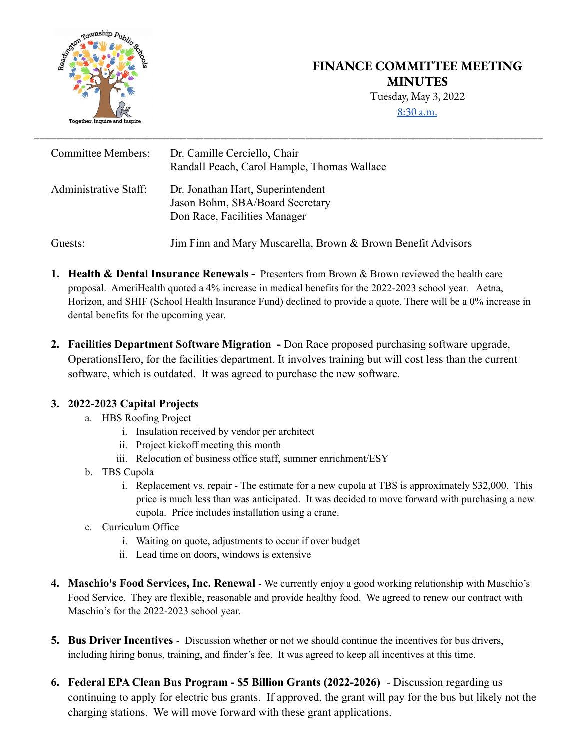

## **FINANCE COMMITTEE MEETING MINUTES** Tuesday, May 3, 2022

[8:30](http://meet.google.com/qkd-wtwa-zvb) a.m.

| <b>Committee Members:</b> | Dr. Camille Cerciello, Chair<br>Randall Peach, Carol Hample, Thomas Wallace                          |
|---------------------------|------------------------------------------------------------------------------------------------------|
| Administrative Staff:     | Dr. Jonathan Hart, Superintendent<br>Jason Bohm, SBA/Board Secretary<br>Don Race, Facilities Manager |
| Guests:                   | Jim Finn and Mary Muscarella, Brown & Brown Benefit Advisors                                         |

- **1. Health & Dental Insurance Renewals -** Presenters from Brown & Brown reviewed the health care proposal. AmeriHealth quoted a 4% increase in medical benefits for the 2022-2023 school year. Aetna, Horizon, and SHIF (School Health Insurance Fund) declined to provide a quote. There will be a 0% increase in dental benefits for the upcoming year.
- **2. Facilities Department Software Migration -** Don Race proposed purchasing software upgrade, OperationsHero, for the facilities department. It involves training but will cost less than the current software, which is outdated. It was agreed to purchase the new software.

## **3. 2022-2023 Capital Projects**

- a. HBS Roofing Project
	- i. Insulation received by vendor per architect
	- ii. Project kickoff meeting this month
	- iii. Relocation of business office staff, summer enrichment/ESY
- b. TBS Cupola
	- i. Replacement vs. repair The estimate for a new cupola at TBS is approximately \$32,000. This price is much less than was anticipated. It was decided to move forward with purchasing a new cupola. Price includes installation using a crane.
- c. Curriculum Office
	- i. Waiting on quote, adjustments to occur if over budget
	- ii. Lead time on doors, windows is extensive
- **4. Maschio's Food Services, Inc. Renewal** We currently enjoy a good working relationship with Maschio's Food Service. They are flexible, reasonable and provide healthy food. We agreed to renew our contract with Maschio's for the 2022-2023 school year.
- **5. Bus Driver Incentives** Discussion whether or not we should continue the incentives for bus drivers, including hiring bonus, training, and finder's fee. It was agreed to keep all incentives at this time.
- **6. Federal EPA Clean Bus Program \$5 Billion Grants (2022-2026)** Discussion regarding us continuing to apply for electric bus grants. If approved, the grant will pay for the bus but likely not the charging stations. We will move forward with these grant applications.